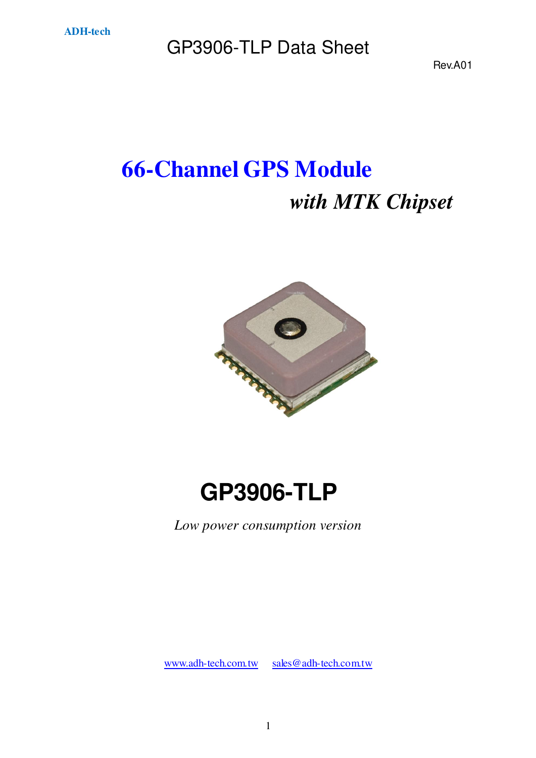Rev.A01

# **66-Channel GPS Module** *with MTK Chipset*



# **GP3906-TLP**

*Low power consumption version* 

[www.adh-tech.com.tw](http://www.adh-tech.com.tw/) [sales@adh-tech.com.tw](mailto:sales@adh-tech.com.tw)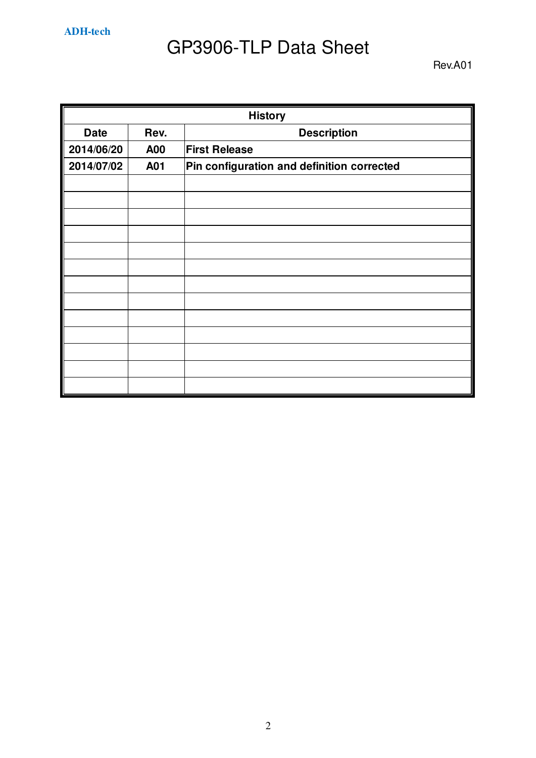**ADH-tech** 

## GP3906-TLP Data Sheet

| <b>History</b> |            |                                            |  |  |
|----------------|------------|--------------------------------------------|--|--|
| <b>Date</b>    | Rev.       | <b>Description</b>                         |  |  |
| 2014/06/20     | <b>A00</b> | <b>First Release</b>                       |  |  |
| 2014/07/02     | A01        | Pin configuration and definition corrected |  |  |
|                |            |                                            |  |  |
|                |            |                                            |  |  |
|                |            |                                            |  |  |
|                |            |                                            |  |  |
|                |            |                                            |  |  |
|                |            |                                            |  |  |
|                |            |                                            |  |  |
|                |            |                                            |  |  |
|                |            |                                            |  |  |
|                |            |                                            |  |  |
|                |            |                                            |  |  |
|                |            |                                            |  |  |
|                |            |                                            |  |  |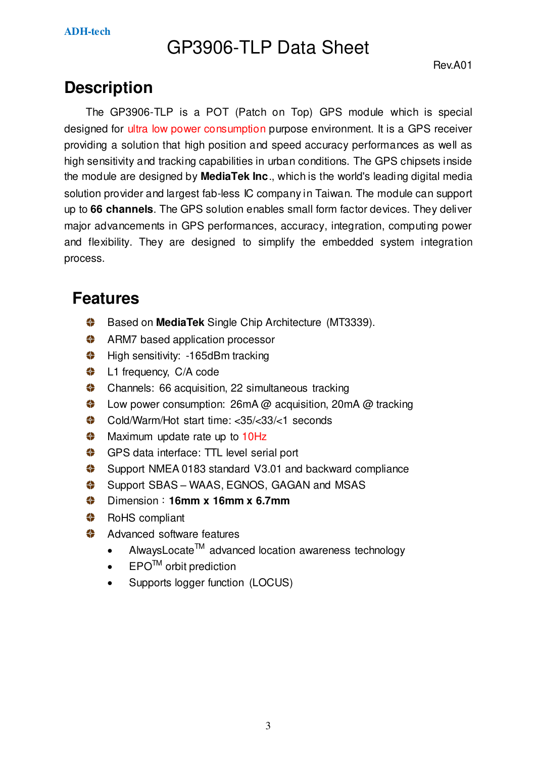### **Description**

The GP3906-TLP is a POT (Patch on Top) GPS module which is special designed for ultra low power consumption purpose environment. It is a GPS receiver providing a solution that high position and speed accuracy performances as well as high sensitivity and tracking capabilities in urban conditions. The GPS chipsets inside the module are designed by **MediaTek Inc**., which is the world's leading digital media solution provider and largest fab-less IC company in Taiwan. The module can support up to **66 channels**. The GPS solution enables small form factor devices. They deliver major advancements in GPS performances, accuracy, integration, computing power and flexibility. They are designed to simplify the embedded system integration process.

### **Features**

- **Based on MediaTek Single Chip Architecture (MT3339).**
- **←** ARM7 based application processor
- **♦ High sensitivity: -165dBm tracking**
- **♦ L1** frequency, C/A code
- **Channels: 66 acquisition, 22 simultaneous tracking**
- ۰ Low power consumption: 26mA @ acquisition, 20mA @ tracking
- Cold/Warm/Hot start time: <35/<33/<1 seconds
- **Maximum update rate up to 10Hz**
- GPS data interface: TTL level serial port
- Support NMEA 0183 standard V3.01 and backward compliance
- Support SBAS WAAS, EGNOS, GAGAN and MSAS
- Dimension:**16mm x 16mm x 6.7mm**
- **♦** RoHS compliant
- Advanced software features
	- AlwaysLocate<sup>TM</sup> advanced location awareness technology
	- $EPO^{TM}$  orbit prediction
	- Supports logger function (LOCUS)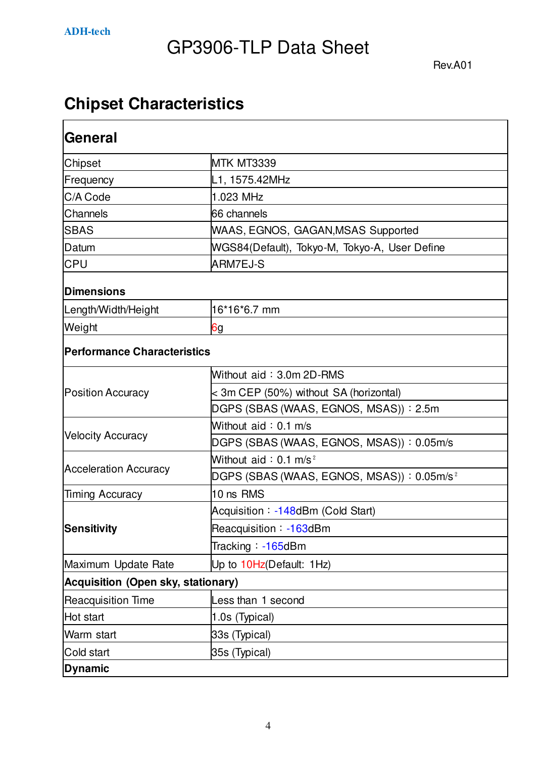### **Chipset Characteristics**

| General                            |                                                          |  |  |
|------------------------------------|----------------------------------------------------------|--|--|
| Chipset                            | MTK MT3339                                               |  |  |
| Frequency                          | L1, 1575.42MHz                                           |  |  |
| C/A Code                           | 1.023 MHz                                                |  |  |
| Channels                           | 66 channels                                              |  |  |
| <b>SBAS</b>                        | WAAS, EGNOS, GAGAN, MSAS Supported                       |  |  |
| Datum                              | WGS84(Default), Tokyo-M, Tokyo-A, User Define            |  |  |
| <b>CPU</b>                         | ARM7EJ-S                                                 |  |  |
| <b>Dimensions</b>                  |                                                          |  |  |
| Length/Width/Height                | 16*16*6.7 mm                                             |  |  |
| Weight                             | 6g                                                       |  |  |
| <b>Performance Characteristics</b> |                                                          |  |  |
|                                    | Without aid: 3.0m 2D-RMS                                 |  |  |
| <b>Position Accuracy</b>           | < 3m CEP (50%) without SA (horizontal)                   |  |  |
|                                    | DGPS (SBAS (WAAS, EGNOS, MSAS)): 2.5m                    |  |  |
|                                    | Without aid: 0.1 m/s                                     |  |  |
| <b>Velocity Accuracy</b>           | DGPS (SBAS (WAAS, EGNOS, MSAS)): 0.05m/s                 |  |  |
|                                    | Without aid: $0.1$ m/s <sup>2</sup>                      |  |  |
| <b>Acceleration Accuracy</b>       | $DGPS$ (SBAS (WAAS, EGNOS, MSAS)) : 0.05m/s <sup>2</sup> |  |  |
| <b>Timing Accuracy</b>             | 10 ns RMS                                                |  |  |
|                                    | Acquisition: -148dBm (Cold Start)                        |  |  |
| <b>Sensitivity</b>                 | Reacquisition: -163dBm                                   |  |  |
|                                    | Tracking: -165dBm                                        |  |  |
| Maximum Update Rate                | Up to 10Hz(Default: 1Hz)                                 |  |  |
| Acquisition (Open sky, stationary) |                                                          |  |  |
| <b>Reacquisition Time</b>          | Less than 1 second                                       |  |  |
| Hot start                          | 1.0s (Typical)                                           |  |  |
| Warm start                         | 33s (Typical)                                            |  |  |
| Cold start                         | 35s (Typical)                                            |  |  |
| <b>Dynamic</b>                     |                                                          |  |  |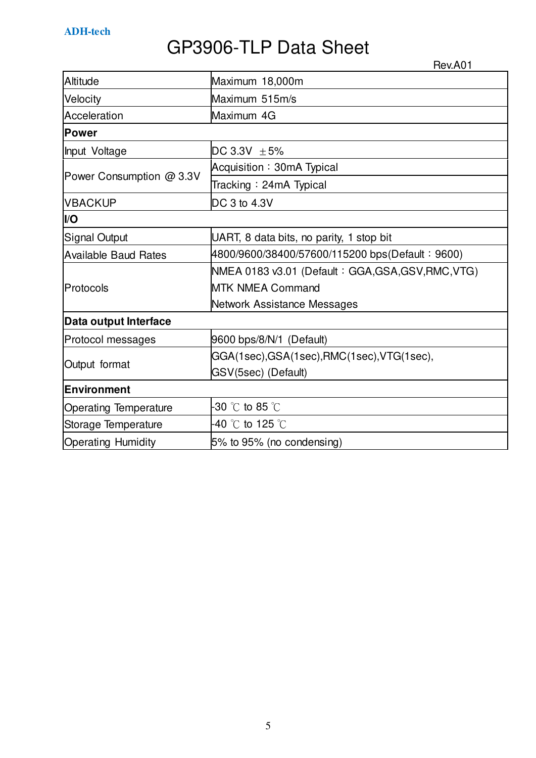Rev.A01

| Altitude                                                                            | Maximum 18,000m                                    |  |  |  |
|-------------------------------------------------------------------------------------|----------------------------------------------------|--|--|--|
| Velocity                                                                            | Maximum 515m/s                                     |  |  |  |
| Acceleration                                                                        | Maximum 4G                                         |  |  |  |
| Power                                                                               |                                                    |  |  |  |
| Input Voltage                                                                       | DC 3.3V $\pm$ 5%                                   |  |  |  |
|                                                                                     | Acquisition: 30mA Typical                          |  |  |  |
| Power Consumption @ 3.3V                                                            | Tracking: 24mA Typical                             |  |  |  |
| <b>VBACKUP</b>                                                                      | DC 3 to 4.3V                                       |  |  |  |
| I/O                                                                                 |                                                    |  |  |  |
| Signal Output                                                                       | UART, 8 data bits, no parity, 1 stop bit           |  |  |  |
| <b>Available Baud Rates</b>                                                         | 4800/9600/38400/57600/115200 bps(Default: 9600)    |  |  |  |
|                                                                                     | NMEA 0183 v3.01 (Default: GGA, GSA, GSV, RMC, VTG) |  |  |  |
| Protocols                                                                           | <b>MTK NMEA Command</b>                            |  |  |  |
|                                                                                     | Network Assistance Messages                        |  |  |  |
| Data output Interface                                                               |                                                    |  |  |  |
| Protocol messages                                                                   | 9600 bps/8/N/1 (Default)                           |  |  |  |
|                                                                                     | GGA(1sec),GSA(1sec),RMC(1sec),VTG(1sec),           |  |  |  |
| Output format                                                                       | GSV(5sec) (Default)                                |  |  |  |
| Environment                                                                         |                                                    |  |  |  |
| -30 $^{\circ}\textrm{C}$ to 85 $^{\circ}\textrm{C}$<br><b>Operating Temperature</b> |                                                    |  |  |  |
| Storage Temperature                                                                 | -40 $^{\circ}$ C to 125 $^{\circ}$ C               |  |  |  |
| <b>Operating Humidity</b>                                                           | 5% to 95% (no condensing)                          |  |  |  |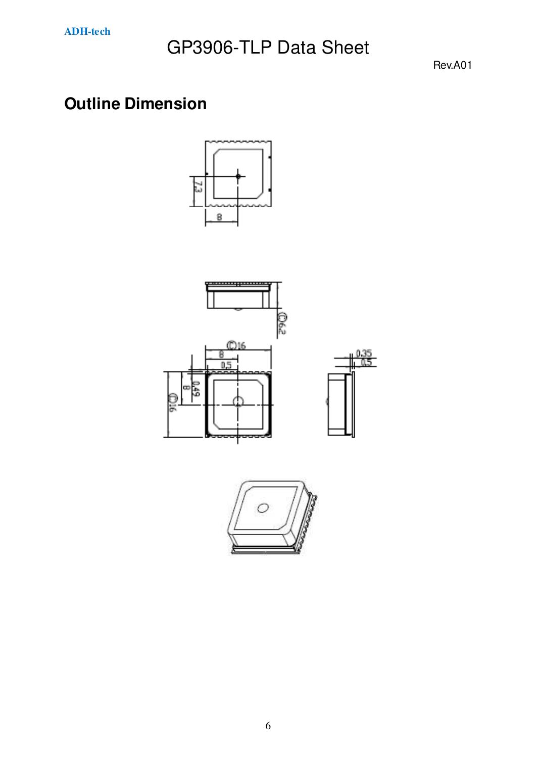Rev.A01

### **Outline Dimension**





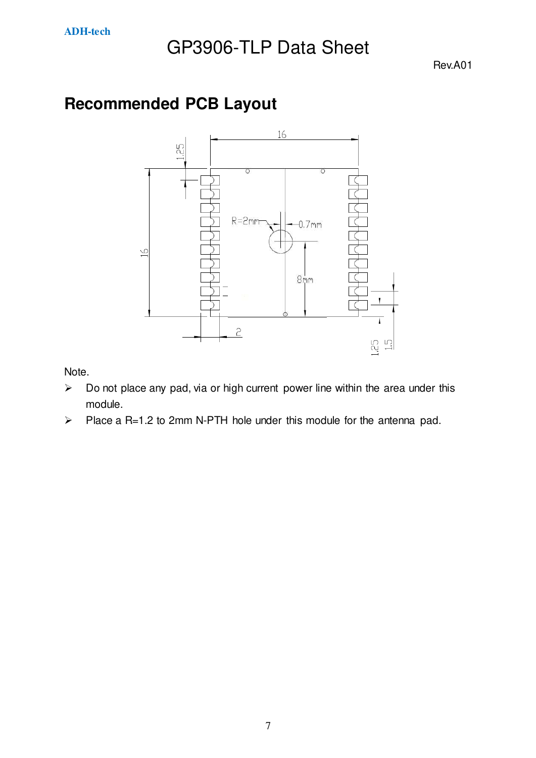Rev.A01

### **Recommended PCB Layout**



Note.

- $\triangleright$  Do not place any pad, via or high current power line within the area under this module.
- $\triangleright$  Place a R=1.2 to 2mm N-PTH hole under this module for the antenna pad.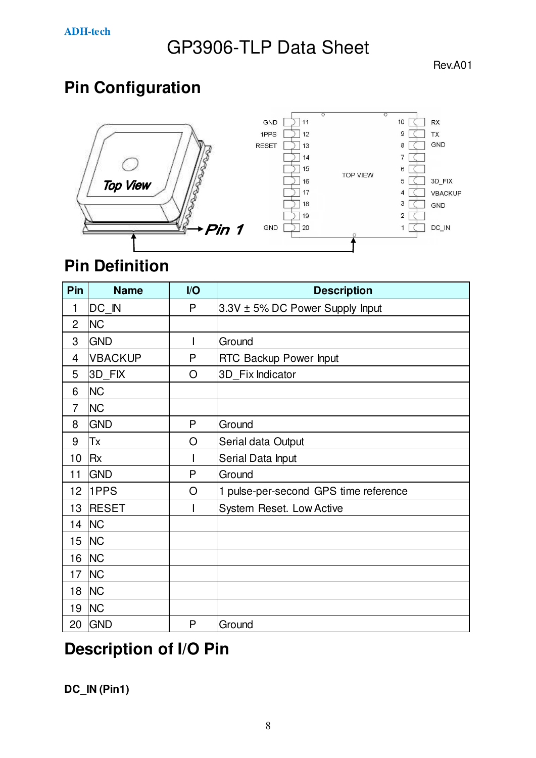Rev.A01

### **Pin Configuration**



### **Pin Definition**

| Pin            | <b>Name</b>    | I/O | <b>Description</b>                    |  |
|----------------|----------------|-----|---------------------------------------|--|
| 1              | DC IN          | P   | 3.3V ± 5% DC Power Supply Input       |  |
| $\overline{2}$ | <b>NC</b>      |     |                                       |  |
| 3              | <b>GND</b>     | I   | Ground                                |  |
| 4              | <b>VBACKUP</b> | P   | <b>RTC Backup Power Input</b>         |  |
| 5              | 3D FIX         | O   | 3D_Fix Indicator                      |  |
| 6              | <b>NC</b>      |     |                                       |  |
| $\overline{7}$ | <b>NC</b>      |     |                                       |  |
| 8              | <b>GND</b>     | P   | Ground                                |  |
| 9              | Tx             | O   | Serial data Output                    |  |
| 10             | <b>Rx</b>      |     | Serial Data Input                     |  |
| 11             | <b>GND</b>     | P   | Ground                                |  |
| 12             | 1PPS           | O   | 1 pulse-per-second GPS time reference |  |
| 13             | <b>RESET</b>   | I   | System Reset. Low Active              |  |
| 14             | <b>NC</b>      |     |                                       |  |
| 15             | <b>NC</b>      |     |                                       |  |
| 16             | <b>NC</b>      |     |                                       |  |
| 17             | <b>NC</b>      |     |                                       |  |
| 18             | <b>NC</b>      |     |                                       |  |
| 19             | <b>NC</b>      |     |                                       |  |
| 20             | <b>GND</b>     | P   | Ground                                |  |

### **Description of I/O Pin**

**DC\_IN (Pin1)**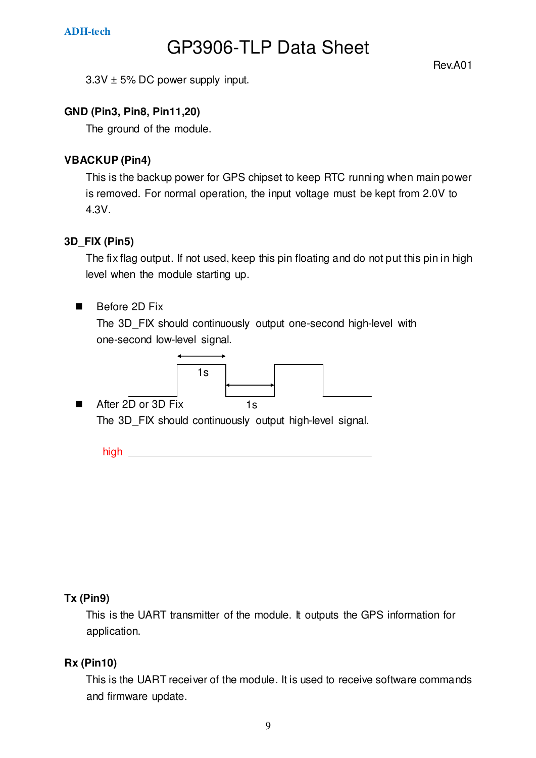Rev.A01

3.3V ± 5% DC power supply input.

#### **GND (Pin3, Pin8, Pin11,20)**

The ground of the module.

#### **VBACKUP (Pin4)**

This is the backup power for GPS chipset to keep RTC running when main power is removed. For normal operation, the input voltage must be kept from 2.0V to 4.3V.

#### **3D\_FIX (Pin5)**

The fix flag output. If not used, keep this pin floating and do not put this pin in high level when the module starting up.

#### Before 2D Fix

The 3D\_FIX should continuously output one-second high-level with one-second low-level signal.



■ After 2D or 3D Fix

The 3D\_FIX should continuously output high-level signal.

 $high \_\_\_\_\_\_\_\_\_\_\_\_\_\_\_\_\_\_\_\_$ 

#### **Tx (Pin9)**

This is the UART transmitter of the module. It outputs the GPS information for application.

#### **Rx (Pin10)**

This is the UART receiver of the module. It is used to receive software commands and firmware update.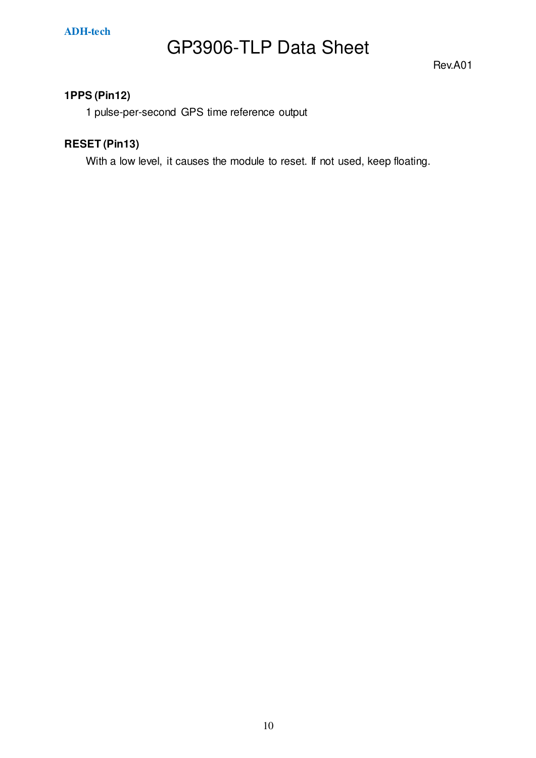Rev.A01

#### **1PPS (Pin12)**

1 pulse-per-second GPS time reference output

#### **RESET (Pin13)**

With a low level, it causes the module to reset. If not used, keep floating.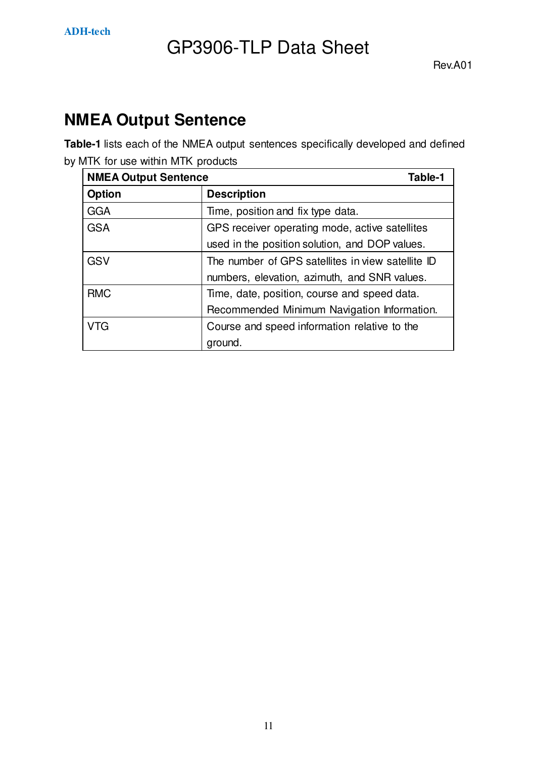

### **NMEA Output Sentence**

**Table-1** lists each of the NMEA output sentences specifically developed and defined by MTK for use within MTK products

| <b>NMEA Output Sentence</b><br>Table-1 |                                                   |
|----------------------------------------|---------------------------------------------------|
| Option                                 | <b>Description</b>                                |
| <b>GGA</b>                             | Time, position and fix type data.                 |
| <b>GSA</b>                             | GPS receiver operating mode, active satellites    |
|                                        | used in the position solution, and DOP values.    |
| <b>GSV</b>                             | The number of GPS satellites in view satellite ID |
|                                        | numbers, elevation, azimuth, and SNR values.      |
| <b>RMC</b>                             | Time, date, position, course and speed data.      |
|                                        | Recommended Minimum Navigation Information.       |
| VTG                                    | Course and speed information relative to the      |
|                                        | ground.                                           |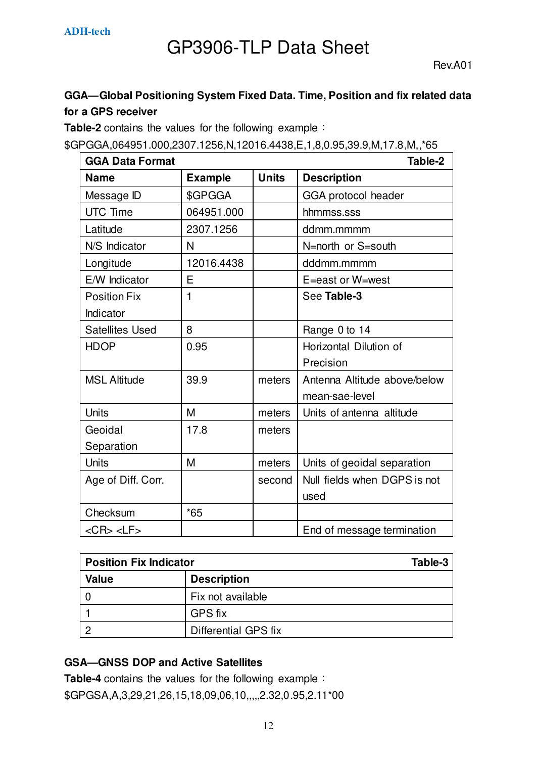#### **GGA—Global Positioning System Fixed Data. Time, Position and fix related data for a GPS receiver**

**Table-2** contains the values for the following example:

\$GPGGA,064951.000,2307.1256,N,12016.4438,E,1,8,0.95,39.9,M,17.8,M,,\*65

| <b>GGA Data Format</b> |                |              | Table-2                      |
|------------------------|----------------|--------------|------------------------------|
| <b>Name</b>            | <b>Example</b> | <b>Units</b> | <b>Description</b>           |
| Message ID             | \$GPGGA        |              | GGA protocol header          |
| <b>UTC Time</b>        | 064951.000     |              | hhmmss.sss                   |
| Latitude               | 2307.1256      |              | ddmm.mmmm                    |
| N/S Indicator          | N              |              | N=north or S=south           |
| Longitude              | 12016.4438     |              | dddmm.mmmm                   |
| E/W Indicator          | E              |              | E=east or W=west             |
| <b>Position Fix</b>    | 1              |              | See Table-3                  |
| Indicator              |                |              |                              |
| <b>Satellites Used</b> | 8              |              | Range 0 to 14                |
| <b>HDOP</b>            | 0.95           |              | Horizontal Dilution of       |
|                        |                |              | Precision                    |
| <b>MSL Altitude</b>    | 39.9           | meters       | Antenna Altitude above/below |
|                        |                |              | mean-sae-level               |
| <b>Units</b>           | M              | meters       | Units of antenna altitude    |
| Geoidal                | 17.8           | meters       |                              |
| Separation             |                |              |                              |
| Units                  | M              | meters       | Units of geoidal separation  |
| Age of Diff. Corr.     |                | second       | Null fields when DGPS is not |
|                        |                |              | used                         |
| Checksum               | $*65$          |              |                              |
| $<$ CR> $<$ LF>        |                |              | End of message termination   |

| <b>Position Fix Indicator</b> | Table-3              |
|-------------------------------|----------------------|
| <b>Value</b>                  | <b>Description</b>   |
|                               | Fix not available    |
|                               | <b>GPS fix</b>       |
|                               | Differential GPS fix |

#### **GSA—GNSS DOP and Active Satellites**

**Table-4** contains the values for the following example: \$GPGSA,A,3,29,21,26,15,18,09,06,10,,,,,2.32,0.95,2.11\*00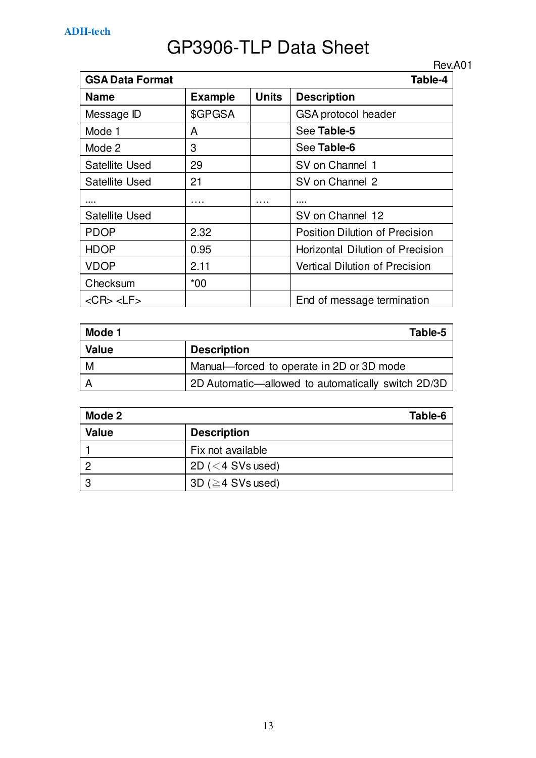|                        |                |              | Rev.A01                               |
|------------------------|----------------|--------------|---------------------------------------|
| <b>GSA Data Format</b> |                |              | Table-4                               |
| <b>Name</b>            | <b>Example</b> | <b>Units</b> | <b>Description</b>                    |
| Message ID             | \$GPGSA        |              | GSA protocol header                   |
| Mode 1                 | A              |              | See Table-5                           |
| Mode 2                 | 3              |              | See Table-6                           |
| Satellite Used         | 29             |              | SV on Channel 1                       |
| Satellite Used         | 21             |              | SV on Channel 2                       |
|                        |                |              |                                       |
| Satellite Used         |                |              | SV on Channel 12                      |
| <b>PDOP</b>            | 2.32           |              | Position Dilution of Precision        |
| <b>HDOP</b>            | 0.95           |              | Horizontal Dilution of Precision      |
| <b>VDOP</b>            | 2.11           |              | <b>Vertical Dilution of Precision</b> |
| Checksum               | *00            |              |                                       |
| $<$ CR $>$ $<$ LF $>$  |                |              | End of message termination            |

| Mode 1       | Table-5                                            |
|--------------|----------------------------------------------------|
| <b>Value</b> | <b>Description</b>                                 |
| M            | Manual-forced to operate in 2D or 3D mode          |
|              | 2D Automatic—allowed to automatically switch 2D/3D |

| Mode 2       | Table-6                 |
|--------------|-------------------------|
| <b>Value</b> | <b>Description</b>      |
|              | Fix not available       |
| റ            | 2D ( $<$ 4 SVs used)    |
| ≏            | 3D ( $\geq$ 4 SVs used) |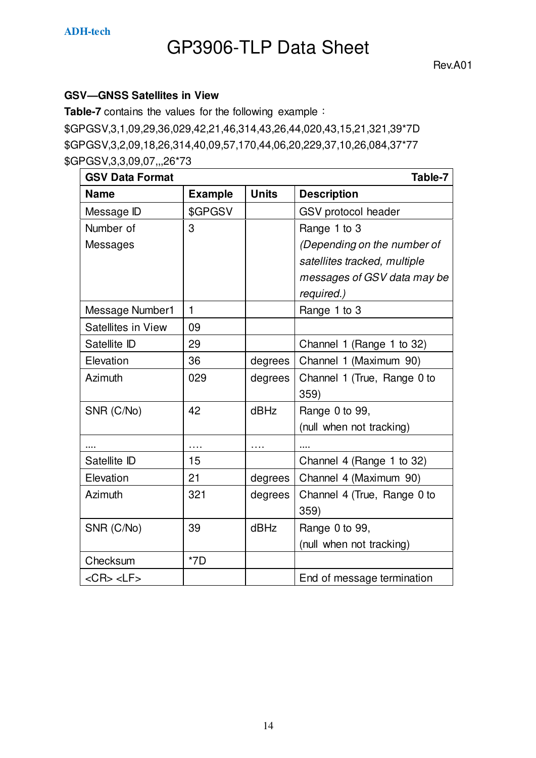Rev.A01

#### **GSV—GNSS Satellites in View**

**Table-7** contains the values for the following example: \$GPGSV,3,1,09,29,36,029,42,21,46,314,43,26,44,020,43,15,21,321,39\*7D \$GPGSV,3,2,09,18,26,314,40,09,57,170,44,06,20,229,37,10,26,084,37\*77 \$GPGSV,3,3,09,07,,,26\*73

| <b>GSV Data Format</b> |                |              | Table-7                      |
|------------------------|----------------|--------------|------------------------------|
| <b>Name</b>            | <b>Example</b> | <b>Units</b> | <b>Description</b>           |
| Message ID             | \$GPGSV        |              | GSV protocol header          |
| Number of              | 3              |              | Range 1 to 3                 |
| Messages               |                |              | (Depending on the number of  |
|                        |                |              | satellites tracked, multiple |
|                        |                |              | messages of GSV data may be  |
|                        |                |              | required.)                   |
| Message Number1        | $\mathbf{1}$   |              | Range 1 to 3                 |
| Satellites in View     | 09             |              |                              |
| Satellite ID           | 29             |              | Channel 1 (Range 1 to 32)    |
| Elevation              | 36             | degrees      | Channel 1 (Maximum 90)       |
| Azimuth                | 029            | degrees      | Channel 1 (True, Range 0 to  |
|                        |                |              | 359)                         |
| SNR (C/No)             | 42             | dBHz         | Range 0 to 99,               |
|                        |                |              | (null when not tracking)     |
|                        | .              | .            |                              |
| Satellite ID           | 15             |              | Channel 4 (Range 1 to 32)    |
| Elevation              | 21             | degrees      | Channel 4 (Maximum 90)       |
| Azimuth                | 321            | degrees      | Channel 4 (True, Range 0 to  |
|                        |                |              | 359)                         |
| SNR (C/No)             | 39             | dBHz         | Range 0 to 99,               |
|                        |                |              | (null when not tracking)     |
| Checksum               | $*7D$          |              |                              |
| $<$ CR> $<$ LF>        |                |              | End of message termination   |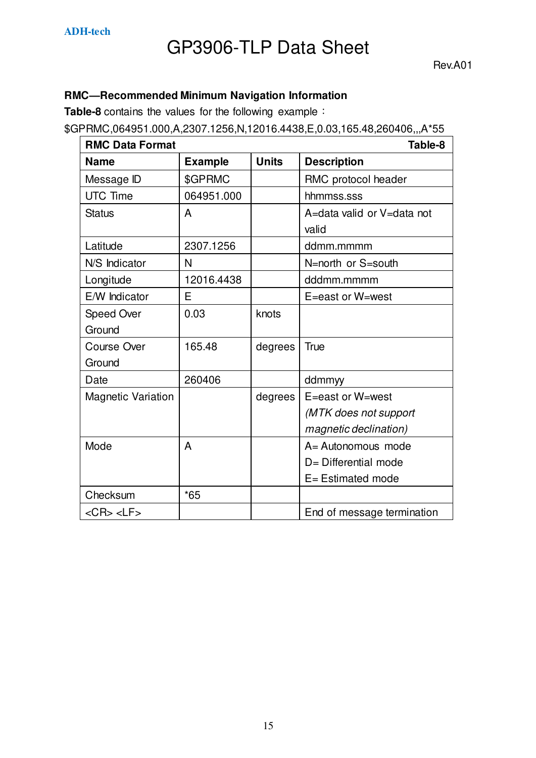#### **RMC—Recommended Minimum Navigation Information**

**Table-8** contains the values for the following example:

\$GPRMC,064951.000,A,2307.1256,N,12016.4438,E,0.03,165.48,260406,,,A\*55

| <b>RMC Data Format</b>    |                |              | Table-8                    |
|---------------------------|----------------|--------------|----------------------------|
| <b>Name</b>               | <b>Example</b> | <b>Units</b> | <b>Description</b>         |
| Message ID                | \$GPRMC        |              | RMC protocol header        |
| <b>UTC Time</b>           | 064951.000     |              | hhmmss.sss                 |
| <b>Status</b>             | A              |              | A=data valid or V=data not |
|                           |                |              | valid                      |
| Latitude                  | 2307.1256      |              | ddmm.mmmm                  |
| N/S Indicator             | N              |              | N=north or S=south         |
| Longitude                 | 12016.4438     |              | dddmm.mmmm                 |
| E/W Indicator             | E              |              | E=east or W=west           |
| Speed Over                | 0.03           | knots        |                            |
| Ground                    |                |              |                            |
| <b>Course Over</b>        | 165.48         | degrees      | <b>True</b>                |
| Ground                    |                |              |                            |
| Date                      | 260406         |              | ddmmyy                     |
| <b>Magnetic Variation</b> |                | degrees      | E=east or W=west           |
|                           |                |              | (MTK does not support      |
|                           |                |              | magnetic declination)      |
| Mode                      | A              |              | A= Autonomous mode         |
|                           |                |              | D= Differential mode       |
|                           |                |              | $E =$ Estimated mode       |
| Checksum                  | $*65$          |              |                            |
| $<$ CR $>$ $<$ LF $>$     |                |              | End of message termination |